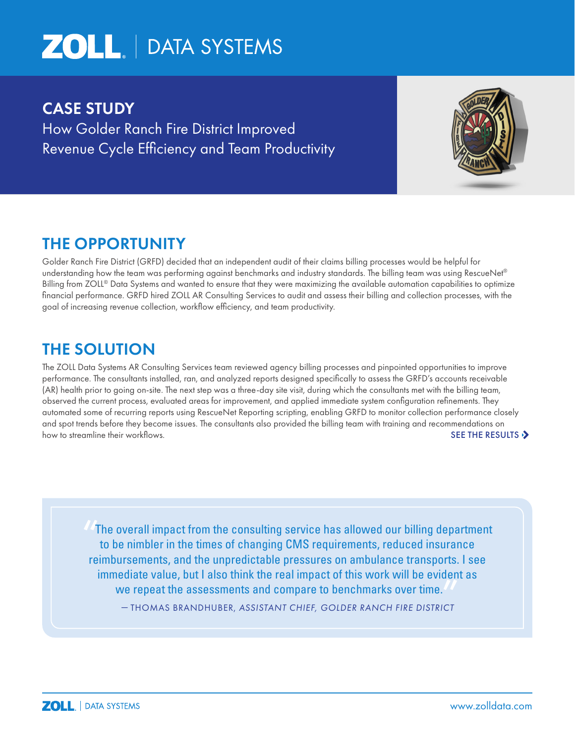# **ZOLL** | DATA SYSTEMS

## CASE STUDY

How Golder Ranch Fire District Improved Revenue Cycle Efficiency and Team Productivity



# THE OPPORTUNITY

Golder Ranch Fire District (GRFD) decided that an independent audit of their claims billing processes would be helpful for understanding how the team was performing against benchmarks and industry standards. The billing team was using RescueNet® Billing from ZOLL® Data Systems and wanted to ensure that they were maximizing the available automation capabilities to optimize financial performance. GRFD hired ZOLL AR Consulting Services to audit and assess their billing and collection processes, with the goal of increasing revenue collection, workflow efficiency, and team productivity.

## THE SOLUTION

The ZOLL Data Systems AR Consulting Services team reviewed agency billing processes and pinpointed opportunities to improve performance. The consultants installed, ran, and analyzed reports designed specifically to assess the GRFD's accounts receivable (AR) health prior to going on-site. The next step was a three-day site visit, during which the consultants met with the billing team, observed the current process, evaluated areas for improvement, and applied immediate system configuration refinements. They automated some of recurring reports using RescueNet Reporting scripting, enabling GRFD to monitor collection performance closely and spot trends before they become issues. The consultants also provided the billing team with training and recommendations on how to streamline their workflows. SEE THE RESULTS IS A streamline their workflows.

The overall impact from the consulting service has allowed our billing department to be nimbler in the times of changing CMS requirements, reduced insurance reimbursements, and the unpredictable pressures on ambulance transports. I see immediate value, but I also think the real impact of this work will be evident as we repeat the assessments and compare to benchmarks over time. — THOMAS BRANDHUBER, *ASSISTANT CHIEF, GOLDER RANCH FIRE DISTRICT* "